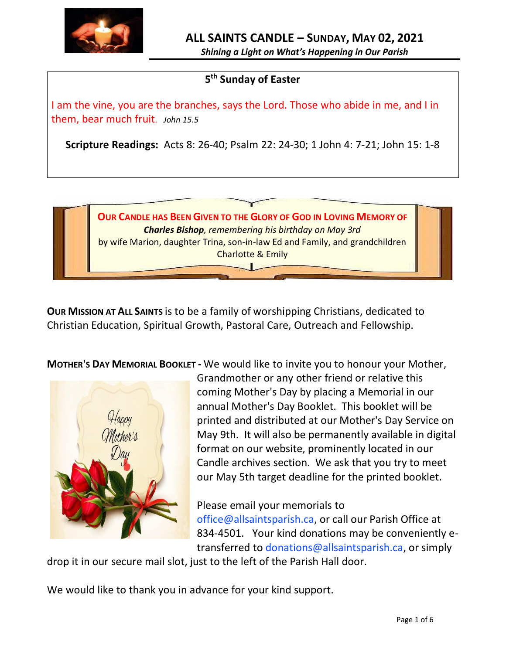

*Shining a Light on What's Happening in Our Parish*

# **5 th Sunday of Easter**

I am the vine, you are the branches, says the Lord. Those who abide in me, and I in them, bear much fruit. *John 15.5*

**Scripture Readings:** Acts 8: 26-40; Psalm 22: 24-30; 1 John 4: 7-21; John 15: 1-8

**OUR CANDLE HAS BEEN GIVEN TO THE GLORY OF GOD IN LOVING MEMORY OF** *Charles Bishop, remembering his birthday on May 3rd* by wife Marion, daughter Trina, son-in-law Ed and Family, and grandchildren Charlotte & Emily $\overline{\phantom{a}}$ 

**OUR MISSION AT ALL SAINTS** is to be a family of worshipping Christians, dedicated to Christian Education, Spiritual Growth, Pastoral Care, Outreach and Fellowship.

**MOTHER'S DAY MEMORIAL BOOKLET -** We would like to invite you to honour your Mother,



Grandmother or any other friend or relative this coming Mother's Day by placing a Memorial in our annual Mother's Day Booklet. This booklet will be printed and distributed at our Mother's Day Service on May 9th. It will also be permanently available in digital format on our website, prominently located in our Candle archives section. We ask that you try to meet our May 5th target deadline for the printed booklet.

Please email your memorials to office@allsaintsparish.ca, or call our Parish Office at 834-4501. Your kind donations may be conveniently etransferred to donations@allsaintsparish.ca, or simply

drop it in our secure mail slot, just to the left of the Parish Hall door.

We would like to thank you in advance for your kind support.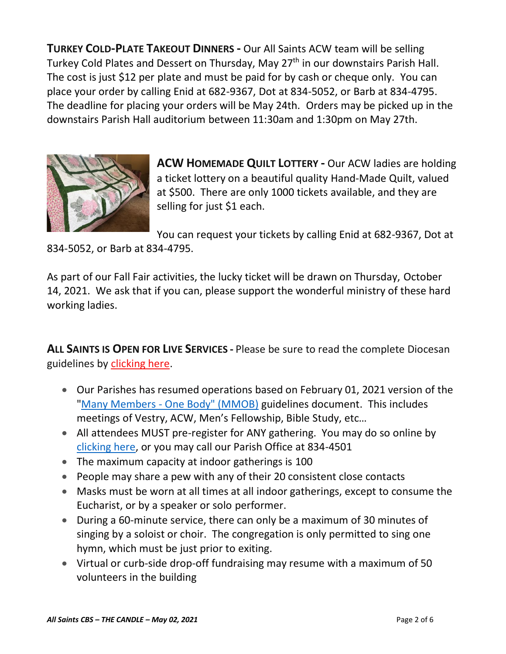**TURKEY COLD-PLATE TAKEOUT DINNERS -** Our All Saints ACW team will be selling Turkey Cold Plates and Dessert on Thursday, May 27<sup>th</sup> in our downstairs Parish Hall. The cost is just \$12 per plate and must be paid for by cash or cheque only. You can place your order by calling Enid at 682-9367, Dot at 834-5052, or Barb at 834-4795. The deadline for placing your orders will be May 24th. Orders may be picked up in the downstairs Parish Hall auditorium between 11:30am and 1:30pm on May 27th.



**ACW HOMEMADE QUILT LOTTERY -** Our ACW ladies are holding a ticket lottery on a beautiful quality Hand-Made Quilt, valued at \$500. There are only 1000 tickets available, and they are selling for just \$1 each.

You can request your tickets by calling Enid at 682-9367, Dot at

834-5052, or Barb at 834-4795.

As part of our Fall Fair activities, the lucky ticket will be drawn on Thursday, October 14, 2021. We ask that if you can, please support the wonderful ministry of these hard working ladies.

**ALL SAINTS IS OPEN FOR LIVE SERVICES -** Please be sure to read the complete Diocesan guidelines by [clicking here.](http://allsaintsparish.ca/document_library/COVID-19/210324%20COVID-19%20Revised%20Alert%20Level%202%20effective%20March%2027%202021.pdf)

- Our Parishes has resumed operations based on February 01, 2021 version of the "Many Members - [One Body" \(MMOB\)](https://anglicanenl.net/home/wp-content/uploads/2021/02/Many-Members-One-Body-February-2021.pdf) guidelines document. This includes meetings of Vestry, ACW, Men's Fellowship, Bible Study, etc…
- All attendees MUST pre-register for ANY gathering. You may do so online by [clicking here,](http://allsaintsparish.ca/covid-pre-registration-form) or you may call our Parish Office at 834-4501
- The maximum capacity at indoor gatherings is 100
- People may share a pew with any of their 20 consistent close contacts
- Masks must be worn at all times at all indoor gatherings, except to consume the Eucharist, or by a speaker or solo performer.
- During a 60-minute service, there can only be a maximum of 30 minutes of singing by a soloist or choir. The congregation is only permitted to sing one hymn, which must be just prior to exiting.
- Virtual or curb-side drop-off fundraising may resume with a maximum of 50 volunteers in the building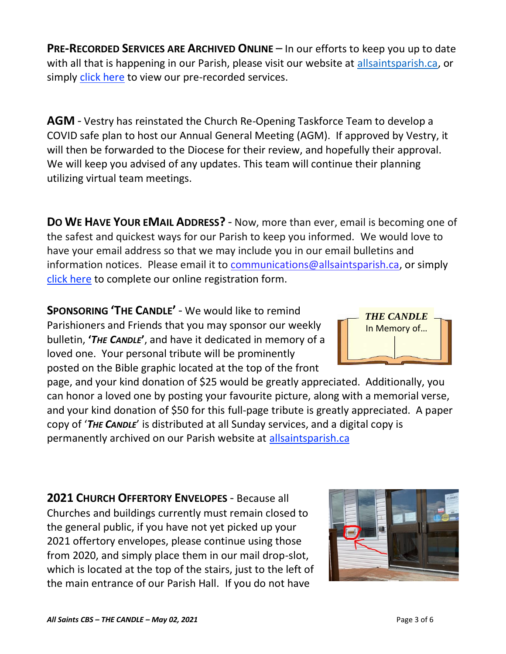**PRE-RECORDED SERVICES ARE ARCHIVED ONLINE** – In our efforts to keep you up to date with all that is happening in our Parish, please visit our website at [allsaintsparish.ca,](http://allsaintsparish.ca/) or simply [click here](http://allsaintsparish.ca/recorded-church-services) to view our pre-recorded services.

**AGM** - Vestry has reinstated the Church Re-Opening Taskforce Team to develop a COVID safe plan to host our Annual General Meeting (AGM). If approved by Vestry, it will then be forwarded to the Diocese for their review, and hopefully their approval. We will keep you advised of any updates. This team will continue their planning utilizing virtual team meetings.

**DO WE HAVE YOUR EMAIL ADDRESS?** - Now, more than ever, email is becoming one of the safest and quickest ways for our Parish to keep you informed. We would love to have your email address so that we may include you in our email bulletins and information notices. Please email it to [communications@allsaintsparish.ca,](mailto:communications@allsaintsparish.ca?subject=eMail%20Address%20Update) or simply [click here](http://allsaintsparish.ca/email_updates) to complete our online registration form.

**SPONSORING 'THE CANDLE'** - We would like to remind Parishioners and Friends that you may sponsor our weekly bulletin, **'***THE CANDLE***'**, and have it dedicated in memory of a loved one. Your personal tribute will be prominently posted on the Bible graphic located at the top of the front

page, and your kind donation of \$25 would be greatly appreciated. Additionally, you can honor a loved one by posting your favourite picture, along with a memorial verse, and your kind donation of \$50 for this full-page tribute is greatly appreciated. A paper copy of '*THE CANDLE*' is distributed at all Sunday services, and a digital copy is permanently archived on our Parish website at [allsaintsparish.ca](http://allsaintsparish.ca/thecandle.html)

**2021 CHURCH OFFERTORY ENVELOPES** - Because all Churches and buildings currently must remain closed to the general public, if you have not yet picked up your 2021 offertory envelopes, please continue using those from 2020, and simply place them in our mail drop-slot, which is located at the top of the stairs, just to the left of the main entrance of our Parish Hall. If you do not have



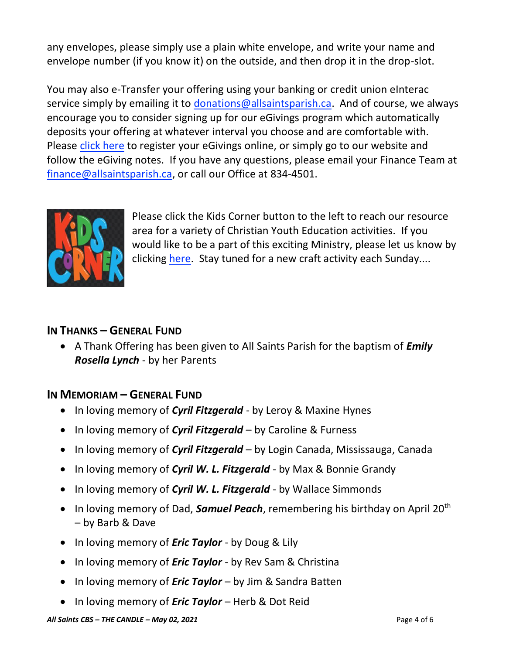any envelopes, please simply use a plain white envelope, and write your name and envelope number (if you know it) on the outside, and then drop it in the drop-slot.

You may also e-Transfer your offering using your banking or credit union eInterac service simply by emailing it to [donations@allsaintsparish.ca.](mailto:donations@allsaintsparish.ca) And of course, we always encourage you to consider signing up for our eGivings program which automatically deposits your offering at whatever interval you choose and are comfortable with. Please [click here](http://allsaintsparish.ca/egiving-online-information-form) to register your eGivings online, or simply go to our website and follow the eGiving notes. If you have [any](https://wfsites-to.websitecreatorprotool.com/870a5dd5.com/Admin/%7BSK_NODEID__22939341__SK%7D) questions, please email your Finance Team at [finance@allsaintsparish.ca,](mailto:finance@allsaintsparish.ca) or call our Office at 834-4501.



Please [click](http://allsaintsparish.ca/kids-corner) the Kids Corner button to the left to reach our resource area for a variety of Christian Youth Education activities. If you would like to be a part of this exciting Ministry, please let us know by clicking [here.](http://allsaintsparish.ca/index.html#comments) Stay tuned for a new craft activity each Sunday....

## **IN THANKS – GENERAL FUND**

• A Thank Offering has been given to All Saints Parish for the baptism of *Emily Rosella Lynch* - by her Parents

# **IN MEMORIAM – GENERAL FUND**

- In loving memory of *Cyril Fitzgerald* by Leroy & Maxine Hynes
- In loving memory of *Cyril Fitzgerald* by Caroline & Furness
- In loving memory of *Cyril Fitzgerald* by Login Canada, Mississauga, Canada
- In loving memory of *Cyril W. L. Fitzgerald* by Max & Bonnie Grandy
- In loving memory of *Cyril W. L. Fitzgerald* by Wallace Simmonds
- In loving memory of Dad, **Samuel Peach**, remembering his birthday on April 20<sup>th</sup> – by Barb & Dave
- In loving memory of *Eric Taylor* by Doug & Lily
- In loving memory of *Eric Taylor* by Rev Sam & Christina
- In loving memory of *Eric Taylor* by Jim & Sandra Batten
- In loving memory of *Eric Taylor* Herb & Dot Reid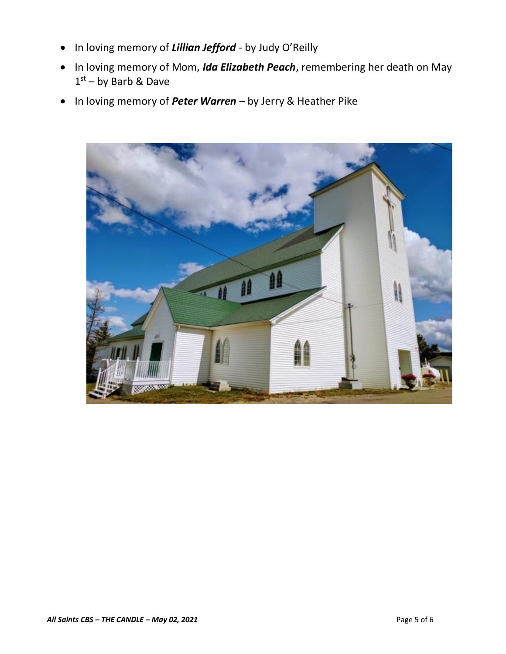- In loving memory of *Lillian Jefford* by Judy O'Reilly
- In loving memory of Mom, *Ida Elizabeth Peach*, remembering her death on May 1<sup>st</sup> – by Barb & Dave
- In loving memory of *Peter Warren* by Jerry & Heather Pike